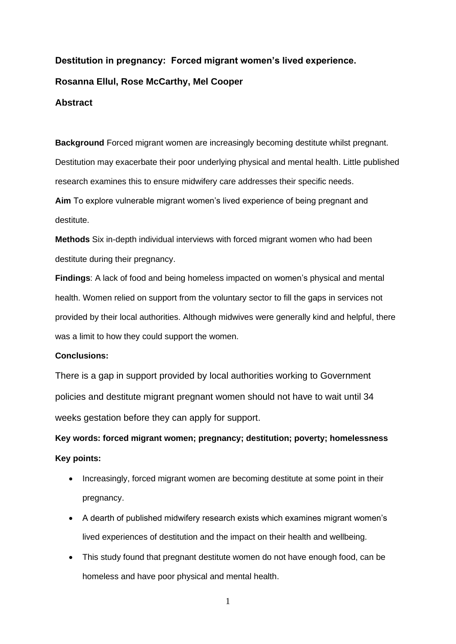# **Destitution in pregnancy: Forced migrant women's lived experience. Rosanna Ellul, Rose McCarthy, Mel Cooper Abstract**

**Background** Forced migrant women are increasingly becoming destitute whilst pregnant. Destitution may exacerbate their poor underlying physical and mental health. Little published research examines this to ensure midwifery care addresses their specific needs. **Aim** To explore vulnerable migrant women's lived experience of being pregnant and destitute.

**Methods** Six in-depth individual interviews with forced migrant women who had been destitute during their pregnancy.

**Findings**: A lack of food and being homeless impacted on women's physical and mental health. Women relied on support from the voluntary sector to fill the gaps in services not provided by their local authorities. Although midwives were generally kind and helpful, there was a limit to how they could support the women.

## **Conclusions:**

There is a gap in support provided by local authorities working to Government policies and destitute migrant pregnant women should not have to wait until 34 weeks gestation before they can apply for support.

**Key words: forced migrant women; pregnancy; destitution; poverty; homelessness Key points:**

- Increasingly, forced migrant women are becoming destitute at some point in their pregnancy.
- A dearth of published midwifery research exists which examines migrant women's lived experiences of destitution and the impact on their health and wellbeing.
- This study found that pregnant destitute women do not have enough food, can be homeless and have poor physical and mental health.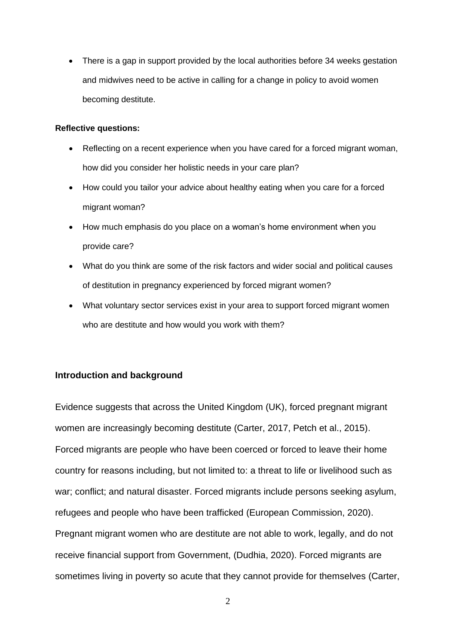• There is a gap in support provided by the local authorities before 34 weeks gestation and midwives need to be active in calling for a change in policy to avoid women becoming destitute.

### **Reflective questions:**

- Reflecting on a recent experience when you have cared for a forced migrant woman, how did you consider her holistic needs in your care plan?
- How could you tailor your advice about healthy eating when you care for a forced migrant woman?
- How much emphasis do you place on a woman's home environment when you provide care?
- What do you think are some of the risk factors and wider social and political causes of destitution in pregnancy experienced by forced migrant women?
- What voluntary sector services exist in your area to support forced migrant women who are destitute and how would you work with them?

## **Introduction and background**

Evidence suggests that across the United Kingdom (UK), forced pregnant migrant women are increasingly becoming destitute (Carter, 2017, Petch et al., 2015). Forced migrants are people who have been coerced or forced to leave their home country for reasons including, but not limited to: a threat to life or livelihood such as war; conflict; and natural disaster. Forced migrants include persons seeking asylum, refugees and people who have been trafficked (European Commission, 2020). Pregnant migrant women who are destitute are not able to work, legally, and do not receive financial support from Government, (Dudhia, 2020). Forced migrants are sometimes living in poverty so acute that they cannot provide for themselves (Carter,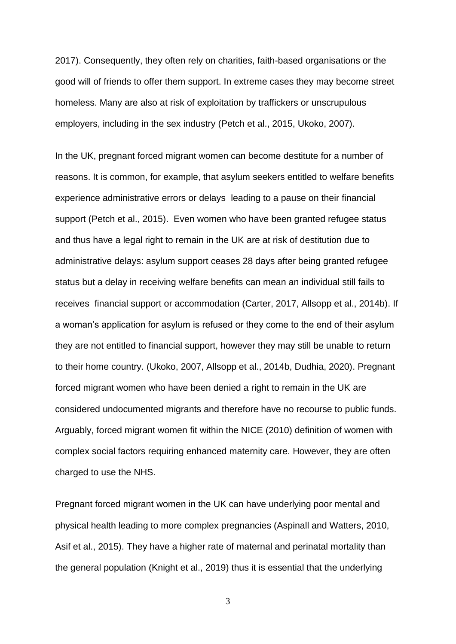2017). Consequently, they often rely on charities, faith-based organisations or the good will of friends to offer them support. In extreme cases they may become street homeless. Many are also at risk of exploitation by traffickers or unscrupulous employers, including in the sex industry (Petch et al., 2015, Ukoko, 2007).

In the UK, pregnant forced migrant women can become destitute for a number of reasons. It is common, for example, that asylum seekers entitled to welfare benefits experience administrative errors or delays leading to a pause on their financial support (Petch et al., 2015). Even women who have been granted refugee status and thus have a legal right to remain in the UK are at risk of destitution due to administrative delays: asylum support ceases 28 days after being granted refugee status but a delay in receiving welfare benefits can mean an individual still fails to receives financial support or accommodation (Carter, 2017, Allsopp et al., 2014b). If a woman's application for asylum is refused or they come to the end of their asylum they are not entitled to financial support, however they may still be unable to return to their home country. (Ukoko, 2007, Allsopp et al., 2014b, Dudhia, 2020). Pregnant forced migrant women who have been denied a right to remain in the UK are considered undocumented migrants and therefore have no recourse to public funds. Arguably, forced migrant women fit within the NICE (2010) definition of women with complex social factors requiring enhanced maternity care. However, they are often charged to use the NHS.

Pregnant forced migrant women in the UK can have underlying poor mental and physical health leading to more complex pregnancies (Aspinall and Watters, 2010, Asif et al., 2015). They have a higher rate of maternal and perinatal mortality than the general population (Knight et al., 2019) thus it is essential that the underlying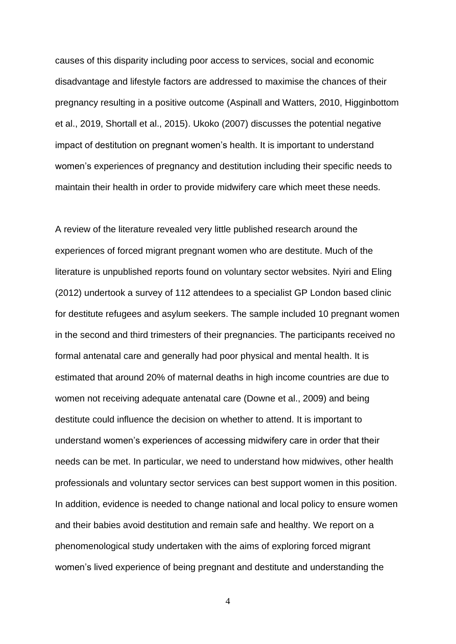causes of this disparity including poor access to services, social and economic disadvantage and lifestyle factors are addressed to maximise the chances of their pregnancy resulting in a positive outcome (Aspinall and Watters, 2010, Higginbottom et al., 2019, Shortall et al., 2015). Ukoko (2007) discusses the potential negative impact of destitution on pregnant women's health. It is important to understand women's experiences of pregnancy and destitution including their specific needs to maintain their health in order to provide midwifery care which meet these needs.

A review of the literature revealed very little published research around the experiences of forced migrant pregnant women who are destitute. Much of the literature is unpublished reports found on voluntary sector websites. Nyiri and Eling (2012) undertook a survey of 112 attendees to a specialist GP London based clinic for destitute refugees and asylum seekers. The sample included 10 pregnant women in the second and third trimesters of their pregnancies. The participants received no formal antenatal care and generally had poor physical and mental health. It is estimated that around 20% of maternal deaths in high income countries are due to women not receiving adequate antenatal care (Downe et al., 2009) and being destitute could influence the decision on whether to attend. It is important to understand women's experiences of accessing midwifery care in order that their needs can be met. In particular, we need to understand how midwives, other health professionals and voluntary sector services can best support women in this position. In addition, evidence is needed to change national and local policy to ensure women and their babies avoid destitution and remain safe and healthy. We report on a phenomenological study undertaken with the aims of exploring forced migrant women's lived experience of being pregnant and destitute and understanding the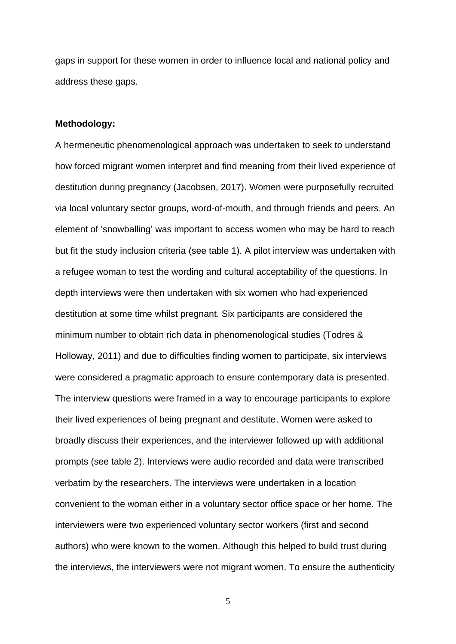gaps in support for these women in order to influence local and national policy and address these gaps.

#### **Methodology:**

A hermeneutic phenomenological approach was undertaken to seek to understand how forced migrant women interpret and find meaning from their lived experience of destitution during pregnancy (Jacobsen, 2017). Women were purposefully recruited via local voluntary sector groups, word-of-mouth, and through friends and peers. An element of 'snowballing' was important to access women who may be hard to reach but fit the study inclusion criteria (see table 1). A pilot interview was undertaken with a refugee woman to test the wording and cultural acceptability of the questions. In depth interviews were then undertaken with six women who had experienced destitution at some time whilst pregnant. Six participants are considered the minimum number to obtain rich data in phenomenological studies (Todres & Holloway, 2011) and due to difficulties finding women to participate, six interviews were considered a pragmatic approach to ensure contemporary data is presented. The interview questions were framed in a way to encourage participants to explore their lived experiences of being pregnant and destitute. Women were asked to broadly discuss their experiences, and the interviewer followed up with additional prompts (see table 2). Interviews were audio recorded and data were transcribed verbatim by the researchers. The interviews were undertaken in a location convenient to the woman either in a voluntary sector office space or her home. The interviewers were two experienced voluntary sector workers (first and second authors) who were known to the women. Although this helped to build trust during the interviews, the interviewers were not migrant women. To ensure the authenticity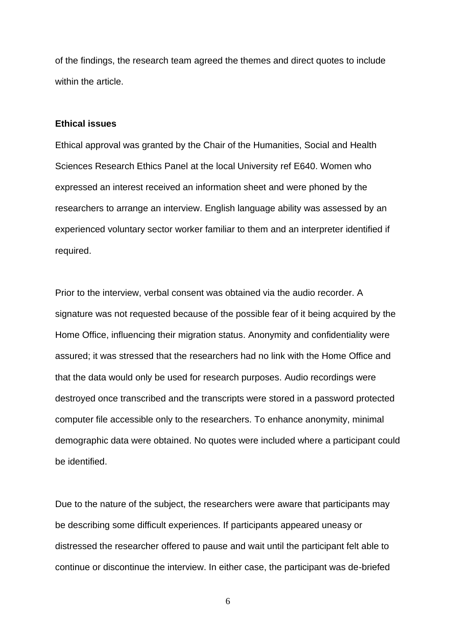of the findings, the research team agreed the themes and direct quotes to include within the article.

## **Ethical issues**

Ethical approval was granted by the Chair of the Humanities, Social and Health Sciences Research Ethics Panel at the local University ref E640. Women who expressed an interest received an information sheet and were phoned by the researchers to arrange an interview. English language ability was assessed by an experienced voluntary sector worker familiar to them and an interpreter identified if required.

Prior to the interview, verbal consent was obtained via the audio recorder. A signature was not requested because of the possible fear of it being acquired by the Home Office, influencing their migration status. Anonymity and confidentiality were assured; it was stressed that the researchers had no link with the Home Office and that the data would only be used for research purposes. Audio recordings were destroyed once transcribed and the transcripts were stored in a password protected computer file accessible only to the researchers. To enhance anonymity, minimal demographic data were obtained. No quotes were included where a participant could be identified.

Due to the nature of the subject, the researchers were aware that participants may be describing some difficult experiences. If participants appeared uneasy or distressed the researcher offered to pause and wait until the participant felt able to continue or discontinue the interview. In either case, the participant was de-briefed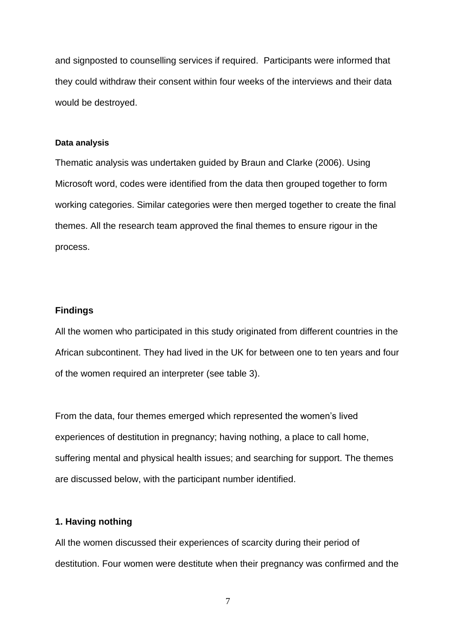and signposted to counselling services if required. Participants were informed that they could withdraw their consent within four weeks of the interviews and their data would be destroyed.

#### **Data analysis**

Thematic analysis was undertaken guided by Braun and Clarke (2006). Using Microsoft word, codes were identified from the data then grouped together to form working categories. Similar categories were then merged together to create the final themes. All the research team approved the final themes to ensure rigour in the process.

## **Findings**

All the women who participated in this study originated from different countries in the African subcontinent. They had lived in the UK for between one to ten years and four of the women required an interpreter (see table 3).

From the data, four themes emerged which represented the women's lived experiences of destitution in pregnancy; having nothing, a place to call home, suffering mental and physical health issues; and searching for support. The themes are discussed below, with the participant number identified.

### **1. Having nothing**

All the women discussed their experiences of scarcity during their period of destitution. Four women were destitute when their pregnancy was confirmed and the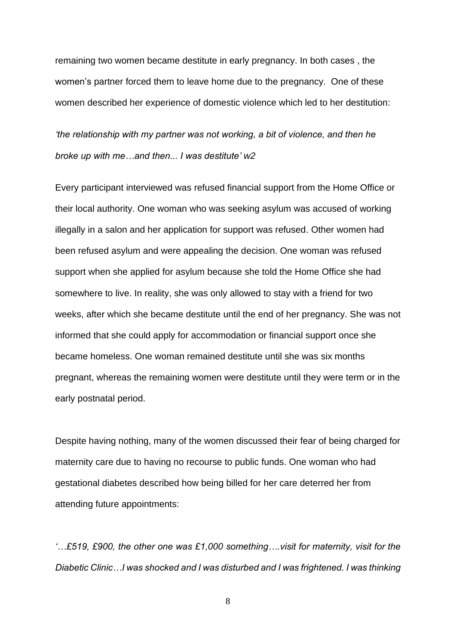remaining two women became destitute in early pregnancy. In both cases , the women's partner forced them to leave home due to the pregnancy. One of these women described her experience of domestic violence which led to her destitution:

*'the relationship with my partner was not working, a bit of violence, and then he broke up with me…and then... I was destitute' w2*

Every participant interviewed was refused financial support from the Home Office or their local authority. One woman who was seeking asylum was accused of working illegally in a salon and her application for support was refused. Other women had been refused asylum and were appealing the decision. One woman was refused support when she applied for asylum because she told the Home Office she had somewhere to live. In reality, she was only allowed to stay with a friend for two weeks, after which she became destitute until the end of her pregnancy. She was not informed that she could apply for accommodation or financial support once she became homeless. One woman remained destitute until she was six months pregnant, whereas the remaining women were destitute until they were term or in the early postnatal period.

Despite having nothing, many of the women discussed their fear of being charged for maternity care due to having no recourse to public funds. One woman who had gestational diabetes described how being billed for her care deterred her from attending future appointments:

*'…£519, £900, the other one was £1,000 something….visit for maternity, visit for the Diabetic Clinic…I was shocked and I was disturbed and I was frightened. I was thinking*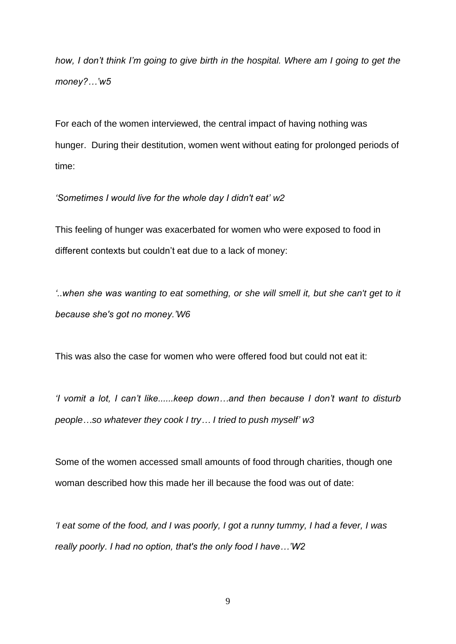*how, I don't think I'm going to give birth in the hospital. Where am I going to get the money?…'w5*

For each of the women interviewed, the central impact of having nothing was hunger. During their destitution, women went without eating for prolonged periods of time:

## *'Sometimes I would live for the whole day I didn't eat' w2*

This feeling of hunger was exacerbated for women who were exposed to food in different contexts but couldn't eat due to a lack of money:

*'..when she was wanting to eat something, or she will smell it, but she can't get to it because she's got no money.'W6*

This was also the case for women who were offered food but could not eat it:

*'I vomit a lot, I can't like......keep down…and then because I don't want to disturb people…so whatever they cook I try… I tried to push myself' w3*

Some of the women accessed small amounts of food through charities, though one woman described how this made her ill because the food was out of date:

*'I eat some of the food, and I was poorly, I got a runny tummy, I had a fever, I was really poorly. I had no option, that's the only food I have…'W2*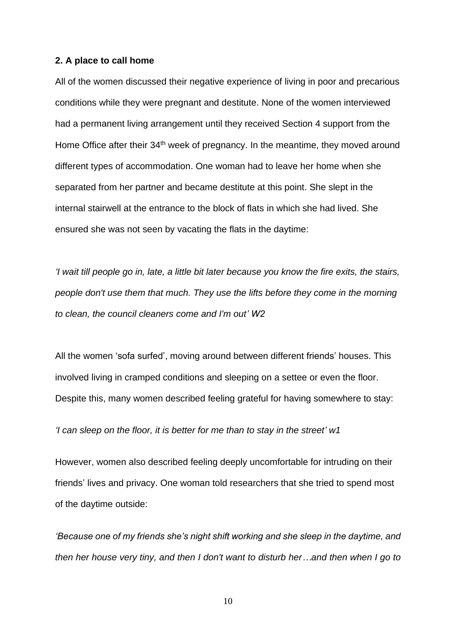#### **2. A place to call home**

All of the women discussed their negative experience of living in poor and precarious conditions while they were pregnant and destitute. None of the women interviewed had a permanent living arrangement until they received Section 4 support from the Home Office after their 34<sup>th</sup> week of pregnancy. In the meantime, they moved around different types of accommodation. One woman had to leave her home when she separated from her partner and became destitute at this point. She slept in the internal stairwell at the entrance to the block of flats in which she had lived. She ensured she was not seen by vacating the flats in the daytime:

*'I wait till people go in, late, a little bit later because you know the fire exits, the stairs, people don't use them that much. They use the lifts before they come in the morning to clean, the council cleaners come and I'm out' W2*

All the women 'sofa surfed', moving around between different friends' houses. This involved living in cramped conditions and sleeping on a settee or even the floor. Despite this, many women described feeling grateful for having somewhere to stay:

*'I can sleep on the floor, it is better for me than to stay in the street' w1*

However, women also described feeling deeply uncomfortable for intruding on their friends' lives and privacy. One woman told researchers that she tried to spend most of the daytime outside:

*'Because one of my friends she's night shift working and she sleep in the daytime, and then her house very tiny, and then I don't want to disturb her…and then when I go to*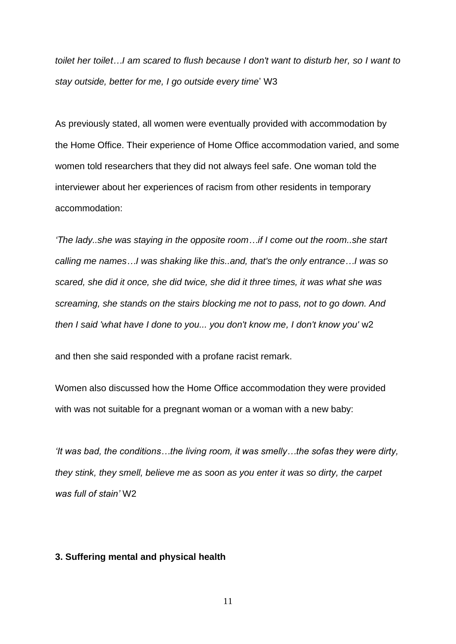*toilet her toilet…I am scared to flush because I don't want to disturb her, so I want to stay outside, better for me, I go outside every time*' W3

As previously stated, all women were eventually provided with accommodation by the Home Office. Their experience of Home Office accommodation varied, and some women told researchers that they did not always feel safe. One woman told the interviewer about her experiences of racism from other residents in temporary accommodation:

*'The lady..she was staying in the opposite room…if I come out the room..she start calling me names…I was shaking like this..and, that's the only entrance…I was so scared, she did it once, she did twice, she did it three times, it was what she was screaming, she stands on the stairs blocking me not to pass, not to go down. And then I said 'what have I done to you... you don't know me, I don't know you'* w2

and then she said responded with a profane racist remark.

Women also discussed how the Home Office accommodation they were provided with was not suitable for a pregnant woman or a woman with a new baby:

*'It was bad, the conditions…the living room, it was smelly…the sofas they were dirty, they stink, they smell, believe me as soon as you enter it was so dirty, the carpet was full of stain'* W2

## **3. Suffering mental and physical health**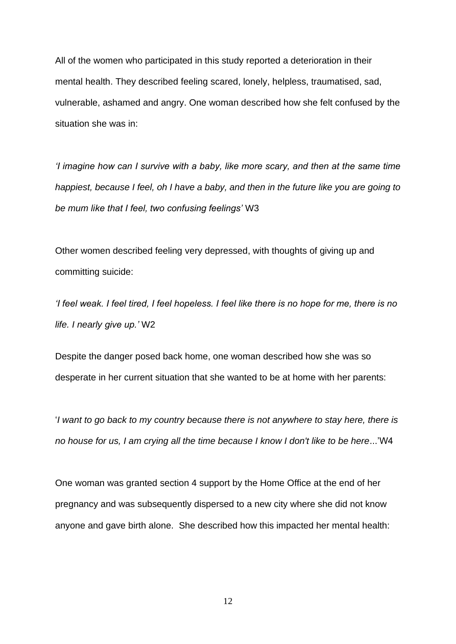All of the women who participated in this study reported a deterioration in their mental health. They described feeling scared, lonely, helpless, traumatised, sad, vulnerable, ashamed and angry. One woman described how she felt confused by the situation she was in:

*'I imagine how can I survive with a baby, like more scary, and then at the same time happiest, because I feel, oh I have a baby, and then in the future like you are going to be mum like that I feel, two confusing feelings'* W3

Other women described feeling very depressed, with thoughts of giving up and committing suicide:

*'I feel weak. I feel tired, I feel hopeless. I feel like there is no hope for me, there is no life. I nearly give up.'* W2

Despite the danger posed back home, one woman described how she was so desperate in her current situation that she wanted to be at home with her parents:

'*I want to go back to my country because there is not anywhere to stay here, there is no house for us, I am crying all the time because I know I don't like to be here*...'W4

One woman was granted section 4 support by the Home Office at the end of her pregnancy and was subsequently dispersed to a new city where she did not know anyone and gave birth alone. She described how this impacted her mental health: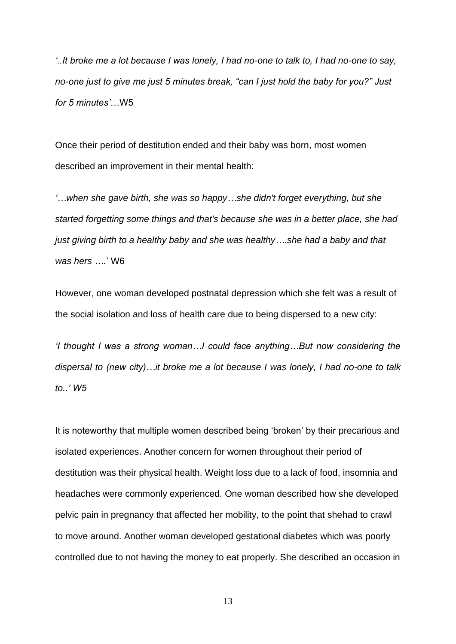*'..It broke me a lot because I was lonely, I had no-one to talk to, I had no-one to say, no-one just to give me just 5 minutes break, "can I just hold the baby for you?" Just for 5 minutes'*…W5

Once their period of destitution ended and their baby was born, most women described an improvement in their mental health:

*'…when she gave birth, she was so happy…she didn't forget everything, but she started forgetting some things and that's because she was in a better place, she had just giving birth to a healthy baby and she was healthy….she had a baby and that was hers ….*' W6

However, one woman developed postnatal depression which she felt was a result of the social isolation and loss of health care due to being dispersed to a new city:

*'I thought I was a strong woman…I could face anything…But now considering the dispersal to (new city)…it broke me a lot because I was lonely, I had no-one to talk to..' W5*

It is noteworthy that multiple women described being 'broken' by their precarious and isolated experiences. Another concern for women throughout their period of destitution was their physical health. Weight loss due to a lack of food, insomnia and headaches were commonly experienced. One woman described how she developed pelvic pain in pregnancy that affected her mobility, to the point that shehad to crawl to move around. Another woman developed gestational diabetes which was poorly controlled due to not having the money to eat properly. She described an occasion in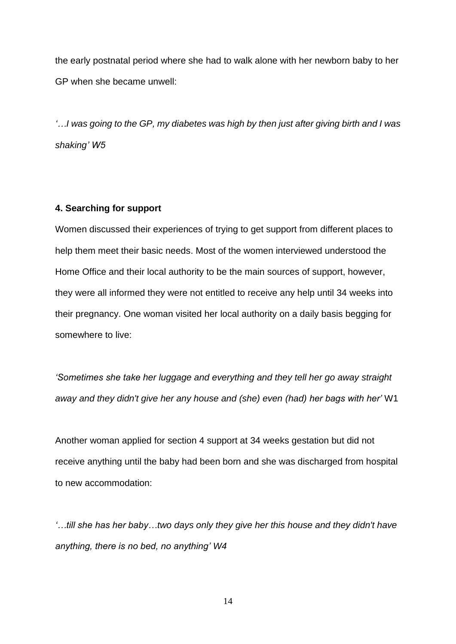the early postnatal period where she had to walk alone with her newborn baby to her GP when she became unwell:

*'…I was going to the GP, my diabetes was high by then just after giving birth and I was shaking' W5*

### **4. Searching for support**

Women discussed their experiences of trying to get support from different places to help them meet their basic needs. Most of the women interviewed understood the Home Office and their local authority to be the main sources of support, however, they were all informed they were not entitled to receive any help until 34 weeks into their pregnancy. One woman visited her local authority on a daily basis begging for somewhere to live:

*'Sometimes she take her luggage and everything and they tell her go away straight away and they didn't give her any house and (she) even (had) her bags with her'* W1

Another woman applied for section 4 support at 34 weeks gestation but did not receive anything until the baby had been born and she was discharged from hospital to new accommodation:

*'…till she has her baby…two days only they give her this house and they didn't have anything, there is no bed, no anything' W4*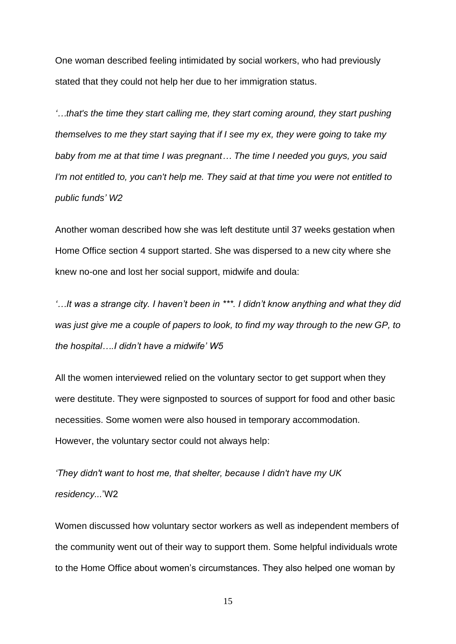One woman described feeling intimidated by social workers, who had previously stated that they could not help her due to her immigration status.

*'…that's the time they start calling me, they start coming around, they start pushing themselves to me they start saying that if I see my ex, they were going to take my baby from me at that time I was pregnant… The time I needed you guys, you said I'm not entitled to, you can't help me. They said at that time you were not entitled to public funds' W2*

Another woman described how she was left destitute until 37 weeks gestation when Home Office section 4 support started. She was dispersed to a new city where she knew no-one and lost her social support, midwife and doula:

*'…It was a strange city. I haven't been in \*\*\*. I didn't know anything and what they did was just give me a couple of papers to look, to find my way through to the new GP, to the hospital….I didn't have a midwife' W5*

All the women interviewed relied on the voluntary sector to get support when they were destitute. They were signposted to sources of support for food and other basic necessities. Some women were also housed in temporary accommodation. However, the voluntary sector could not always help:

*'They didn't want to host me, that shelter, because I didn't have my UK residency...*'W2

Women discussed how voluntary sector workers as well as independent members of the community went out of their way to support them. Some helpful individuals wrote to the Home Office about women's circumstances. They also helped one woman by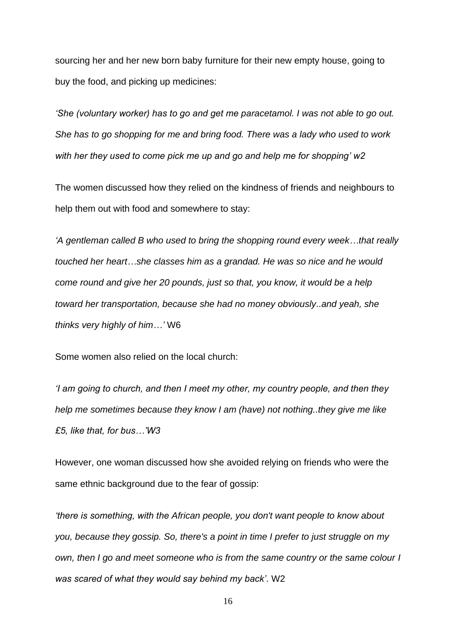sourcing her and her new born baby furniture for their new empty house, going to buy the food, and picking up medicines:

*'She (voluntary worker) has to go and get me paracetamol. I was not able to go out. She has to go shopping for me and bring food. There was a lady who used to work with her they used to come pick me up and go and help me for shopping' w2*

The women discussed how they relied on the kindness of friends and neighbours to help them out with food and somewhere to stay:

*'A gentleman called B who used to bring the shopping round every week…that really touched her heart…she classes him as a grandad. He was so nice and he would come round and give her 20 pounds, just so that, you know, it would be a help toward her transportation, because she had no money obviously..and yeah, she thinks very highly of him…'* W6

Some women also relied on the local church:

*'I am going to church, and then I meet my other, my country people, and then they help me sometimes because they know I am (have) not nothing..they give me like £5, like that, for bus…'W3*

However, one woman discussed how she avoided relying on friends who were the same ethnic background due to the fear of gossip:

*'there is something, with the African people, you don't want people to know about you, because they gossip. So, there's a point in time I prefer to just struggle on my own, then I go and meet someone who is from the same country or the same colour I was scared of what they would say behind my back'*. W2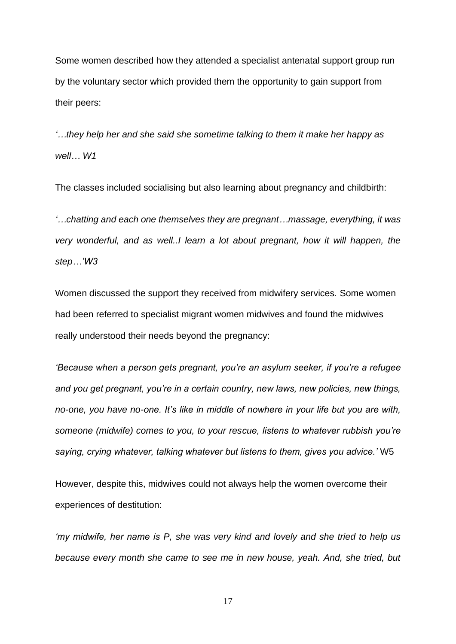Some women described how they attended a specialist antenatal support group run by the voluntary sector which provided them the opportunity to gain support from their peers:

*'…they help her and she said she sometime talking to them it make her happy as well… W1*

The classes included socialising but also learning about pregnancy and childbirth:

*'…chatting and each one themselves they are pregnant…massage, everything, it was very wonderful, and as well..I learn a lot about pregnant, how it will happen, the step…'W3*

Women discussed the support they received from midwifery services. Some women had been referred to specialist migrant women midwives and found the midwives really understood their needs beyond the pregnancy:

*'Because when a person gets pregnant, you're an asylum seeker, if you're a refugee and you get pregnant, you're in a certain country, new laws, new policies, new things, no-one, you have no-one. It's like in middle of nowhere in your life but you are with, someone (midwife) comes to you, to your rescue, listens to whatever rubbish you're saying, crying whatever, talking whatever but listens to them, gives you advice.'* W5

However, despite this, midwives could not always help the women overcome their experiences of destitution:

*'my midwife, her name is P, she was very kind and lovely and she tried to help us because every month she came to see me in new house, yeah. And, she tried, but*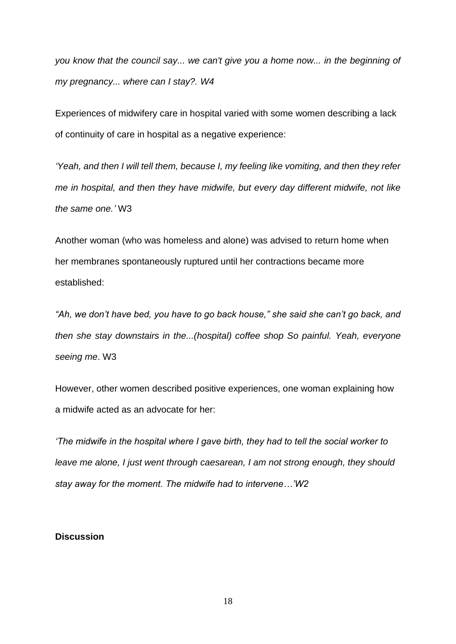*you know that the council say... we can't give you a home now... in the beginning of my pregnancy... where can I stay?. W4*

Experiences of midwifery care in hospital varied with some women describing a lack of continuity of care in hospital as a negative experience:

*'Yeah, and then I will tell them, because I, my feeling like vomiting, and then they refer me in hospital, and then they have midwife, but every day different midwife, not like the same one.'* W3

Another woman (who was homeless and alone) was advised to return home when her membranes spontaneously ruptured until her contractions became more established:

*"Ah, we don't have bed, you have to go back house," she said she can't go back, and then she stay downstairs in the...(hospital) coffee shop So painful. Yeah, everyone seeing me*. W3

However, other women described positive experiences, one woman explaining how a midwife acted as an advocate for her:

*'The midwife in the hospital where I gave birth, they had to tell the social worker to leave me alone, I just went through caesarean, I am not strong enough, they should stay away for the moment. The midwife had to intervene…'W2*

## **Discussion**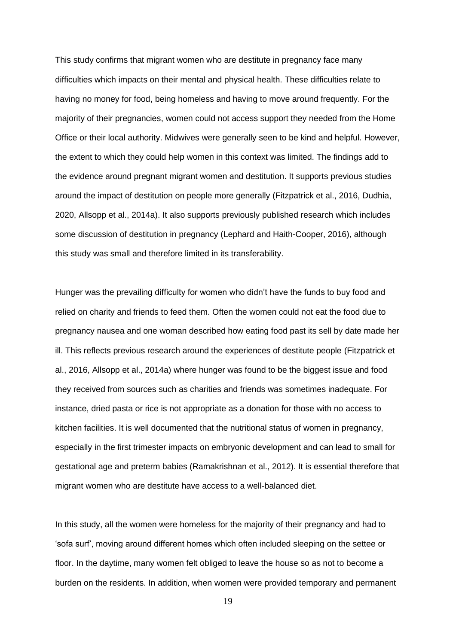This study confirms that migrant women who are destitute in pregnancy face many difficulties which impacts on their mental and physical health. These difficulties relate to having no money for food, being homeless and having to move around frequently. For the majority of their pregnancies, women could not access support they needed from the Home Office or their local authority. Midwives were generally seen to be kind and helpful. However, the extent to which they could help women in this context was limited. The findings add to the evidence around pregnant migrant women and destitution. It supports previous studies around the impact of destitution on people more generally (Fitzpatrick et al., 2016, Dudhia, 2020, Allsopp et al., 2014a). It also supports previously published research which includes some discussion of destitution in pregnancy (Lephard and Haith-Cooper, 2016), although this study was small and therefore limited in its transferability.

Hunger was the prevailing difficulty for women who didn't have the funds to buy food and relied on charity and friends to feed them. Often the women could not eat the food due to pregnancy nausea and one woman described how eating food past its sell by date made her ill. This reflects previous research around the experiences of destitute people (Fitzpatrick et al., 2016, Allsopp et al., 2014a) where hunger was found to be the biggest issue and food they received from sources such as charities and friends was sometimes inadequate. For instance, dried pasta or rice is not appropriate as a donation for those with no access to kitchen facilities. It is well documented that the nutritional status of women in pregnancy, especially in the first trimester impacts on embryonic development and can lead to small for gestational age and preterm babies (Ramakrishnan et al., 2012). It is essential therefore that migrant women who are destitute have access to a well-balanced diet.

In this study, all the women were homeless for the majority of their pregnancy and had to 'sofa surf', moving around different homes which often included sleeping on the settee or floor. In the daytime, many women felt obliged to leave the house so as not to become a burden on the residents. In addition, when women were provided temporary and permanent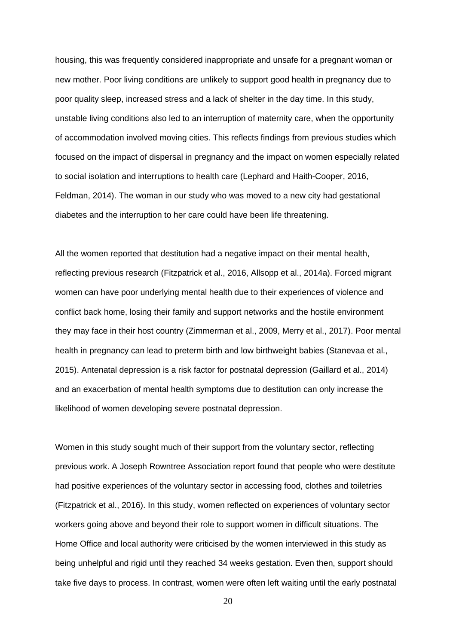housing, this was frequently considered inappropriate and unsafe for a pregnant woman or new mother. Poor living conditions are unlikely to support good health in pregnancy due to poor quality sleep, increased stress and a lack of shelter in the day time. In this study, unstable living conditions also led to an interruption of maternity care, when the opportunity of accommodation involved moving cities. This reflects findings from previous studies which focused on the impact of dispersal in pregnancy and the impact on women especially related to social isolation and interruptions to health care (Lephard and Haith-Cooper, 2016, Feldman, 2014). The woman in our study who was moved to a new city had gestational diabetes and the interruption to her care could have been life threatening.

All the women reported that destitution had a negative impact on their mental health, reflecting previous research (Fitzpatrick et al., 2016, Allsopp et al., 2014a). Forced migrant women can have poor underlying mental health due to their experiences of violence and conflict back home, losing their family and support networks and the hostile environment they may face in their host country (Zimmerman et al., 2009, Merry et al., 2017). Poor mental health in pregnancy can lead to preterm birth and low birthweight babies (Stanevaa et al., 2015). Antenatal depression is a risk factor for postnatal depression (Gaillard et al., 2014) and an exacerbation of mental health symptoms due to destitution can only increase the likelihood of women developing severe postnatal depression.

Women in this study sought much of their support from the voluntary sector, reflecting previous work. A Joseph Rowntree Association report found that people who were destitute had positive experiences of the voluntary sector in accessing food, clothes and toiletries (Fitzpatrick et al., 2016). In this study, women reflected on experiences of voluntary sector workers going above and beyond their role to support women in difficult situations. The Home Office and local authority were criticised by the women interviewed in this study as being unhelpful and rigid until they reached 34 weeks gestation. Even then, support should take five days to process. In contrast, women were often left waiting until the early postnatal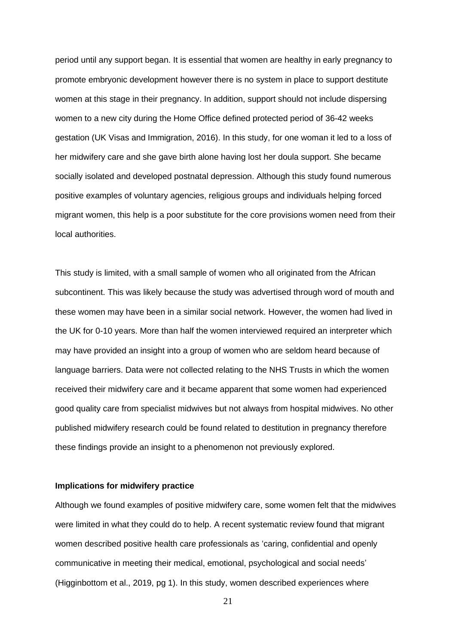period until any support began. It is essential that women are healthy in early pregnancy to promote embryonic development however there is no system in place to support destitute women at this stage in their pregnancy. In addition, support should not include dispersing women to a new city during the Home Office defined protected period of 36-42 weeks gestation (UK Visas and Immigration, 2016). In this study, for one woman it led to a loss of her midwifery care and she gave birth alone having lost her doula support. She became socially isolated and developed postnatal depression. Although this study found numerous positive examples of voluntary agencies, religious groups and individuals helping forced migrant women, this help is a poor substitute for the core provisions women need from their local authorities.

This study is limited, with a small sample of women who all originated from the African subcontinent. This was likely because the study was advertised through word of mouth and these women may have been in a similar social network. However, the women had lived in the UK for 0-10 years. More than half the women interviewed required an interpreter which may have provided an insight into a group of women who are seldom heard because of language barriers. Data were not collected relating to the NHS Trusts in which the women received their midwifery care and it became apparent that some women had experienced good quality care from specialist midwives but not always from hospital midwives. No other published midwifery research could be found related to destitution in pregnancy therefore these findings provide an insight to a phenomenon not previously explored.

#### **Implications for midwifery practice**

Although we found examples of positive midwifery care, some women felt that the midwives were limited in what they could do to help. A recent systematic review found that migrant women described positive health care professionals as 'caring, confidential and openly communicative in meeting their medical, emotional, psychological and social needs' (Higginbottom et al., 2019, pg 1). In this study, women described experiences where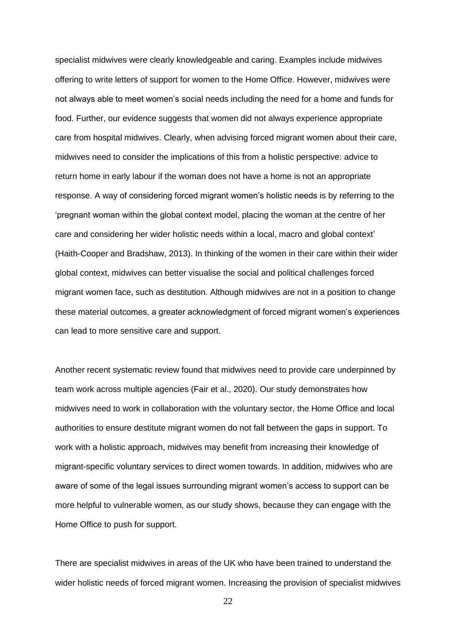specialist midwives were clearly knowledgeable and caring. Examples include midwives offering to write letters of support for women to the Home Office. However, midwives were not always able to meet women's social needs including the need for a home and funds for food. Further, our evidence suggests that women did not always experience appropriate care from hospital midwives. Clearly, when advising forced migrant women about their care, midwives need to consider the implications of this from a holistic perspective: advice to return home in early labour if the woman does not have a home is not an appropriate response. A way of considering forced migrant women's holistic needs is by referring to the 'pregnant woman within the global context model, placing the woman at the centre of her care and considering her wider holistic needs within a local, macro and global context' (Haith-Cooper and Bradshaw, 2013). In thinking of the women in their care within their wider global context, midwives can better visualise the social and political challenges forced migrant women face, such as destitution. Although midwives are not in a position to change these material outcomes, a greater acknowledgment of forced migrant women's experiences can lead to more sensitive care and support.

Another recent systematic review found that midwives need to provide care underpinned by team work across multiple agencies (Fair et al., 2020). Our study demonstrates how midwives need to work in collaboration with the voluntary sector, the Home Office and local authorities to ensure destitute migrant women do not fall between the gaps in support. To work with a holistic approach, midwives may benefit from increasing their knowledge of migrant-specific voluntary services to direct women towards. In addition, midwives who are aware of some of the legal issues surrounding migrant women's access to support can be more helpful to vulnerable women, as our study shows, because they can engage with the Home Office to push for support.

There are specialist midwives in areas of the UK who have been trained to understand the wider holistic needs of forced migrant women. Increasing the provision of specialist midwives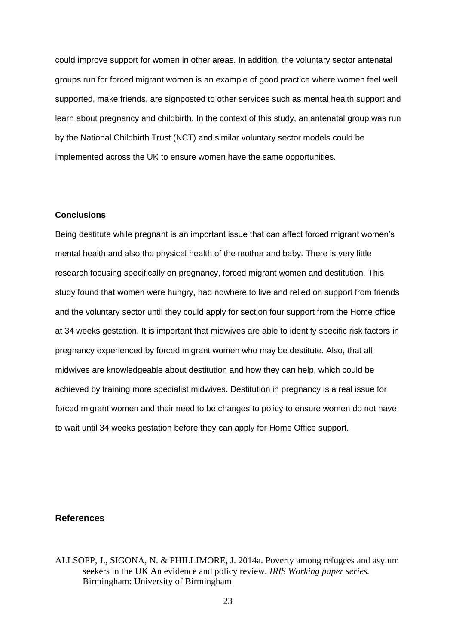could improve support for women in other areas. In addition, the voluntary sector antenatal groups run for forced migrant women is an example of good practice where women feel well supported, make friends, are signposted to other services such as mental health support and learn about pregnancy and childbirth. In the context of this study, an antenatal group was run by the National Childbirth Trust (NCT) and similar voluntary sector models could be implemented across the UK to ensure women have the same opportunities.

## **Conclusions**

Being destitute while pregnant is an important issue that can affect forced migrant women's mental health and also the physical health of the mother and baby. There is very little research focusing specifically on pregnancy, forced migrant women and destitution. This study found that women were hungry, had nowhere to live and relied on support from friends and the voluntary sector until they could apply for section four support from the Home office at 34 weeks gestation. It is important that midwives are able to identify specific risk factors in pregnancy experienced by forced migrant women who may be destitute. Also, that all midwives are knowledgeable about destitution and how they can help, which could be achieved by training more specialist midwives. Destitution in pregnancy is a real issue for forced migrant women and their need to be changes to policy to ensure women do not have to wait until 34 weeks gestation before they can apply for Home Office support.

## **References**

ALLSOPP, J., SIGONA, N. & PHILLIMORE, J. 2014a. Poverty among refugees and asylum seekers in the UK An evidence and policy review. *IRIS Working paper series.* Birmingham: University of Birmingham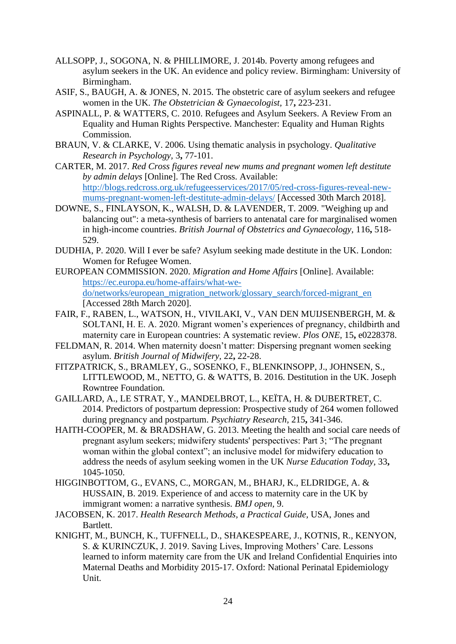- ALLSOPP, J., SOGONA, N. & PHILLIMORE, J. 2014b. Poverty among refugees and asylum seekers in the UK. An evidence and policy review. Birmingham: University of Birmingham.
- ASIF, S., BAUGH, A. & JONES, N. 2015. The obstetric care of asylum seekers and refugee women in the UK. *The Obstetrician & Gynaecologist,* 17**,** 223-231.
- ASPINALL, P. & WATTERS, C. 2010. Refugees and Asylum Seekers. A Review From an Equality and Human Rights Perspective. Manchester: Equality and Human Rights Commission.
- BRAUN, V. & CLARKE, V. 2006. Using thematic analysis in psychology. *Qualitative Research in Psychology,* 3**,** 77-101.
- CARTER, M. 2017. *Red Cross figures reveal new mums and pregnant women left destitute by admin delays* [Online]. The Red Cross. Available: [http://blogs.redcross.org.uk/refugeesservices/2017/05/red-cross-figures-reveal-new](http://blogs.redcross.org.uk/refugeesservices/2017/05/red-cross-figures-reveal-new-mums-pregnant-women-left-destitute-admin-delays/)[mums-pregnant-women-left-destitute-admin-delays/](http://blogs.redcross.org.uk/refugeesservices/2017/05/red-cross-figures-reveal-new-mums-pregnant-women-left-destitute-admin-delays/) [Accessed 30th March 2018].
- DOWNE, S., FINLAYSON, K., WALSH, D. & LAVENDER, T. 2009. "Weighing up and balancing out": a meta-synthesis of barriers to antenatal care for marginalised women in high-income countries. *British Journal of Obstetrics and Gynaecology,* 116**,** 518- 529.
- DUDHIA, P. 2020. Will I ever be safe? Asylum seeking made destitute in the UK. London: Women for Refugee Women.
- EUROPEAN COMMISSION. 2020. *Migration and Home Affairs* [Online]. Available: [https://ec.europa.eu/home-affairs/what-we](https://ec.europa.eu/home-affairs/what-we-do/networks/european_migration_network/glossary_search/forced-migrant_en)[do/networks/european\\_migration\\_network/glossary\\_search/forced-migrant\\_en](https://ec.europa.eu/home-affairs/what-we-do/networks/european_migration_network/glossary_search/forced-migrant_en) [Accessed 28th March 2020].
- FAIR, F., RABEN, L., WATSON, H., VIVILAKI, V., VAN DEN MUIJSENBERGH, M. & SOLTANI, H. E. A. 2020. Migrant women's experiences of pregnancy, childbirth and maternity care in European countries: A systematic review. *Plos ONE,* 15**,** e0228378.
- FELDMAN, R. 2014. When maternity doesn't matter: Dispersing pregnant women seeking asylum. *British Journal of Midwifery,* 22**,** 22-28.
- FITZPATRICK, S., BRAMLEY, G., SOSENKO, F., BLENKINSOPP, J., JOHNSEN, S., LITTLEWOOD, M., NETTO, G. & WATTS, B. 2016. Destitution in the UK. Joseph Rowntree Foundation.
- GAILLARD, A., LE STRAT, Y., MANDELBROT, L., KEÏTA, H. & DUBERTRET, C. 2014. Predictors of postpartum depression: Prospective study of 264 women followed during pregnancy and postpartum. *Psychiatry Research,* 215**,** 341-346.
- HAITH-COOPER, M. & BRADSHAW, G. 2013. Meeting the health and social care needs of pregnant asylum seekers; midwifery students' perspectives: Part 3; "The pregnant woman within the global context"; an inclusive model for midwifery education to address the needs of asylum seeking women in the UK *Nurse Education Today,* 33**,** 1045-1050.
- HIGGINBOTTOM, G., EVANS, C., MORGAN, M., BHARJ, K., ELDRIDGE, A. & HUSSAIN, B. 2019. Experience of and access to maternity care in the UK by immigrant women: a narrative synthesis. *BMJ open,* 9.
- JACOBSEN, K. 2017. *Health Research Methods, a Practical Guide,* USA, Jones and Bartlett.
- KNIGHT, M., BUNCH, K., TUFFNELL, D., SHAKESPEARE, J., KOTNIS, R., KENYON, S. & KURINCZUK, J. 2019. Saving Lives, Improving Mothers' Care. Lessons learned to inform maternity care from the UK and Ireland Confidential Enquiries into Maternal Deaths and Morbidity 2015-17. Oxford: National Perinatal Epidemiology Unit.